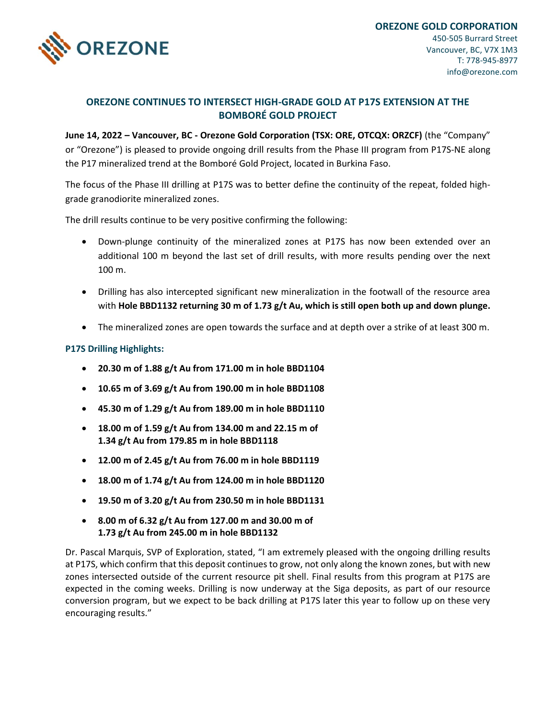

## **OREZONE CONTINUES TO INTERSECT HIGH-GRADE GOLD AT P17S EXTENSION AT THE BOMBORÉ GOLD PROJECT**

**June 14, 2022 – Vancouver, BC - Orezone Gold Corporation (TSX: ORE, OTCQX: ORZCF)** (the "Company" or "Orezone") is pleased to provide ongoing drill results from the Phase III program from P17S-NE along the P17 mineralized trend at the Bomboré Gold Project, located in Burkina Faso.

The focus of the Phase III drilling at P17S was to better define the continuity of the repeat, folded highgrade granodiorite mineralized zones.

The drill results continue to be very positive confirming the following:

- Down-plunge continuity of the mineralized zones at P17S has now been extended over an additional 100 m beyond the last set of drill results, with more results pending over the next 100 m.
- Drilling has also intercepted significant new mineralization in the footwall of the resource area with **Hole BBD1132 returning 30 m of 1.73 g/t Au, which is still open both up and down plunge.**
- The mineralized zones are open towards the surface and at depth over a strike of at least 300 m.

## **P17S Drilling Highlights:**

- **20.30 m of 1.88 g/t Au from 171.00 m in hole BBD1104**
- **10.65 m of 3.69 g/t Au from 190.00 m in hole BBD1108**
- **45.30 m of 1.29 g/t Au from 189.00 m in hole BBD1110**
- **18.00 m of 1.59 g/t Au from 134.00 m and 22.15 m of 1.34 g/t Au from 179.85 m in hole BBD1118**
- **12.00 m of 2.45 g/t Au from 76.00 m in hole BBD1119**
- **18.00 m of 1.74 g/t Au from 124.00 m in hole BBD1120**
- **19.50 m of 3.20 g/t Au from 230.50 m in hole BBD1131**
- **8.00 m of 6.32 g/t Au from 127.00 m and 30.00 m of 1.73 g/t Au from 245.00 m in hole BBD1132**

Dr. Pascal Marquis, SVP of Exploration, stated, "I am extremely pleased with the ongoing drilling results at P17S, which confirm that this deposit continues to grow, not only along the known zones, but with new zones intersected outside of the current resource pit shell. Final results from this program at P17S are expected in the coming weeks. Drilling is now underway at the Siga deposits, as part of our resource conversion program, but we expect to be back drilling at P17S later this year to follow up on these very encouraging results."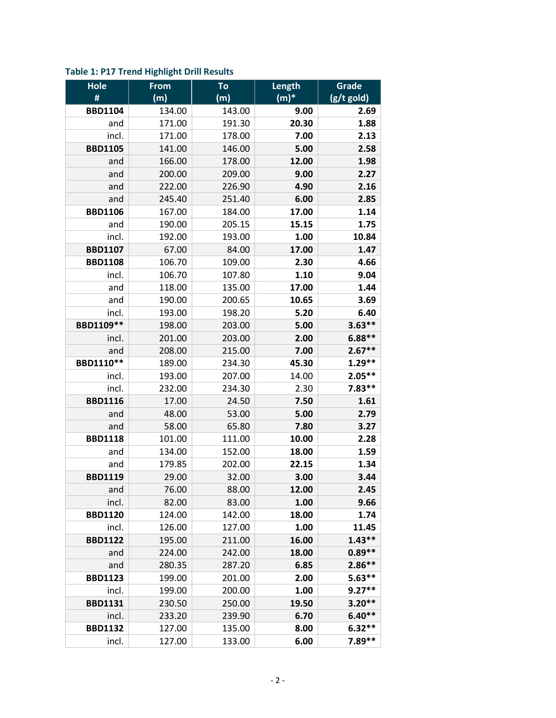| <b>Hole</b>    | <b>From</b> | To     | Length  | Grade      |
|----------------|-------------|--------|---------|------------|
| #              | (m)         | (m)    | $(m)^*$ | (g/t gold) |
| <b>BBD1104</b> | 134.00      | 143.00 | 9.00    | 2.69       |
| and            | 171.00      | 191.30 | 20.30   | 1.88       |
| incl.          | 171.00      | 178.00 | 7.00    | 2.13       |
| <b>BBD1105</b> | 141.00      | 146.00 | 5.00    | 2.58       |
| and            | 166.00      | 178.00 | 12.00   | 1.98       |
| and            | 200.00      | 209.00 | 9.00    | 2.27       |
| and            | 222.00      | 226.90 | 4.90    | 2.16       |
| and            | 245.40      | 251.40 | 6.00    | 2.85       |
| <b>BBD1106</b> | 167.00      | 184.00 | 17.00   | 1.14       |
| and            | 190.00      | 205.15 | 15.15   | 1.75       |
| incl.          | 192.00      | 193.00 | 1.00    | 10.84      |
| <b>BBD1107</b> | 67.00       | 84.00  | 17.00   | 1.47       |
| <b>BBD1108</b> | 106.70      | 109.00 | 2.30    | 4.66       |
| incl.          | 106.70      | 107.80 | 1.10    | 9.04       |
| and            | 118.00      | 135.00 | 17.00   | 1.44       |
| and            | 190.00      | 200.65 | 10.65   | 3.69       |
| incl.          | 193.00      | 198.20 | 5.20    | 6.40       |
| BBD1109**      | 198.00      | 203.00 | 5.00    | $3.63**$   |
| incl.          | 201.00      | 203.00 | 2.00    | $6.88**$   |
| and            | 208.00      | 215.00 | 7.00    | $2.67**$   |
| BBD1110**      | 189.00      | 234.30 | 45.30   | $1.29**$   |
| incl.          | 193.00      | 207.00 | 14.00   | $2.05**$   |
| incl.          | 232.00      | 234.30 | 2.30    | $7.83**$   |
| <b>BBD1116</b> | 17.00       | 24.50  | 7.50    | 1.61       |
| and            | 48.00       | 53.00  | 5.00    | 2.79       |
| and            | 58.00       | 65.80  | 7.80    | 3.27       |
| <b>BBD1118</b> | 101.00      | 111.00 | 10.00   | 2.28       |
| and            | 134.00      | 152.00 | 18.00   | 1.59       |
| and            | 179.85      | 202.00 | 22.15   | 1.34       |
| <b>BBD1119</b> | 29.00       | 32.00  | 3.00    | 3.44       |
| and            | 76.00       | 88.00  | 12.00   | 2.45       |
| incl.          | 82.00       | 83.00  | 1.00    | 9.66       |
| <b>BBD1120</b> | 124.00      | 142.00 | 18.00   | 1.74       |
| incl.          | 126.00      | 127.00 | 1.00    | 11.45      |
| <b>BBD1122</b> | 195.00      | 211.00 | 16.00   | $1.43**$   |
| and            | 224.00      | 242.00 | 18.00   | $0.89**$   |
| and            | 280.35      | 287.20 | 6.85    | $2.86**$   |
| <b>BBD1123</b> | 199.00      | 201.00 | 2.00    | $5.63**$   |
| incl.          | 199.00      | 200.00 | 1.00    | $9.27**$   |
| <b>BBD1131</b> | 230.50      | 250.00 | 19.50   | $3.20**$   |
| incl.          | 233.20      | 239.90 | 6.70    | $6.40**$   |
| <b>BBD1132</b> | 127.00      | 135.00 | 8.00    | $6.32**$   |
| incl.          | 127.00      | 133.00 | 6.00    | 7.89**     |

# **Table 1: P17 Trend Highlight Drill Results**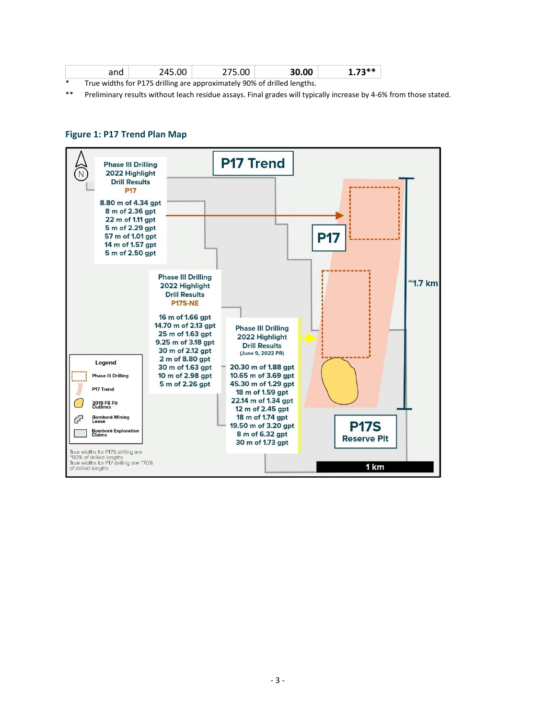| and                                                                     | 245.00 | 275.00 | 30.00 | $1.73**$ |  |  |
|-------------------------------------------------------------------------|--------|--------|-------|----------|--|--|
| True widths for P17S drilling are approximately 90% of drilled lengths. |        |        |       |          |  |  |

\*\* Preliminary results without leach residue assays. Final grades will typically increase by 4-6% from those stated.

### **Figure 1: P17 Trend Plan Map**

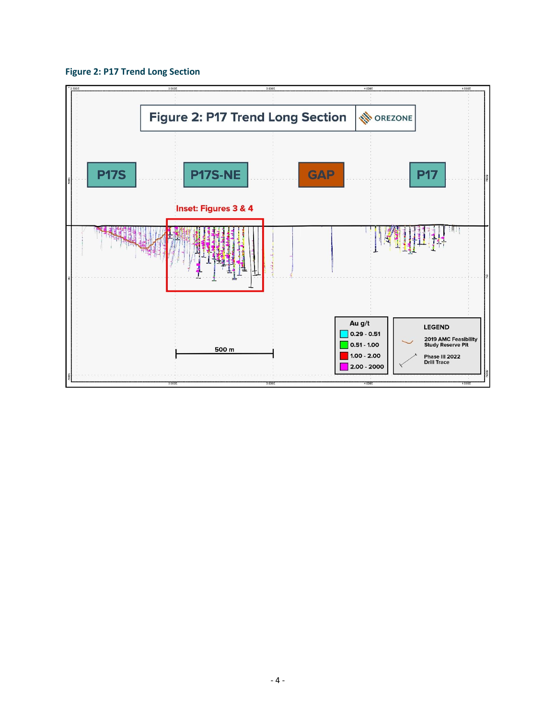

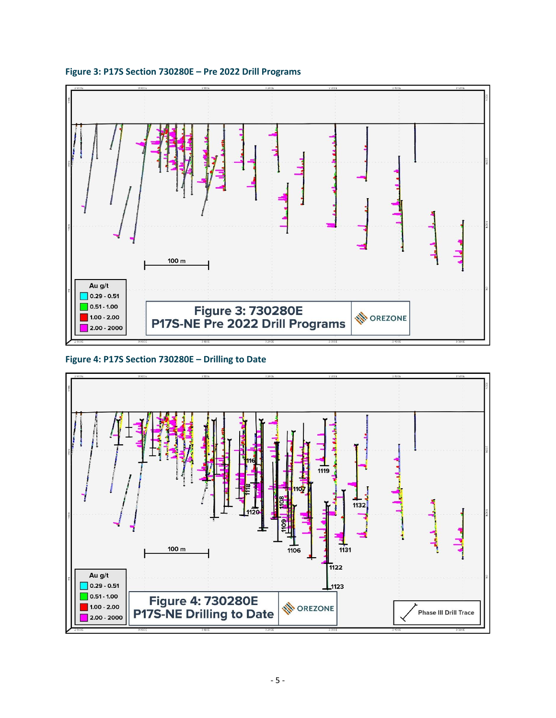

#### **Figure 3: P17S Section 730280E – Pre 2022 Drill Programs**

## **Figure 4: P17S Section 730280E – Drilling to Date**

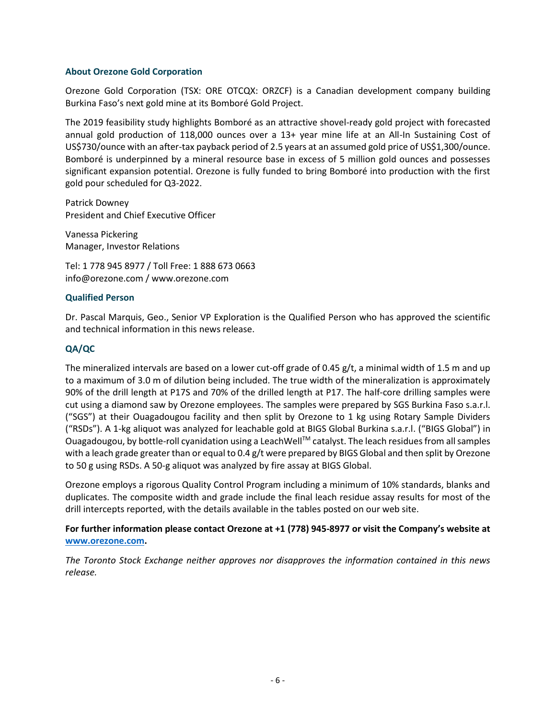#### **About Orezone Gold Corporation**

Orezone Gold Corporation (TSX: ORE OTCQX: ORZCF) is a Canadian development company building Burkina Faso's next gold mine at its Bomboré Gold Project.

The 2019 feasibility study highlights Bomboré as an attractive shovel-ready gold project with forecasted annual gold production of 118,000 ounces over a 13+ year mine life at an All-In Sustaining Cost of US\$730/ounce with an after-tax payback period of 2.5 years at an assumed gold price of US\$1,300/ounce. Bomboré is underpinned by a mineral resource base in excess of 5 million gold ounces and possesses significant expansion potential. Orezone is fully funded to bring Bomboré into production with the first gold pour scheduled for Q3-2022.

Patrick Downey President and Chief Executive Officer

Vanessa Pickering Manager, Investor Relations

Tel: 1 778 945 8977 / Toll Free: 1 888 673 0663 info@orezone.com / www.orezone.com

### **Qualified Person**

Dr. Pascal Marquis, Geo., Senior VP Exploration is the Qualified Person who has approved the scientific and technical information in this news release.

### **QA/QC**

The mineralized intervals are based on a lower cut-off grade of 0.45  $g/t$ , a minimal width of 1.5 m and up to a maximum of 3.0 m of dilution being included. The true width of the mineralization is approximately 90% of the drill length at P17S and 70% of the drilled length at P17. The half-core drilling samples were cut using a diamond saw by Orezone employees. The samples were prepared by SGS Burkina Faso s.a.r.l. ("SGS") at their Ouagadougou facility and then split by Orezone to 1 kg using Rotary Sample Dividers ("RSDs"). A 1-kg aliquot was analyzed for leachable gold at BIGS Global Burkina s.a.r.l. ("BIGS Global") in Ouagadougou, by bottle-roll cyanidation using a LeachWellTM catalyst. The leach residues from all samples with a leach grade greater than or equal to 0.4 g/t were prepared by BIGS Global and then split by Orezone to 50 g using RSDs. A 50-g aliquot was analyzed by fire assay at BIGS Global.

Orezone employs a rigorous Quality Control Program including a minimum of 10% standards, blanks and duplicates. The composite width and grade include the final leach residue assay results for most of the drill intercepts reported, with the details available in the tables posted on our web site.

### **For further information please contact Orezone at +1 (778) 945-8977 or visit the Company's website at [www.orezone.com.](http://www.orezone.com/)**

*The Toronto Stock Exchange neither approves nor disapproves the information contained in this news release.*